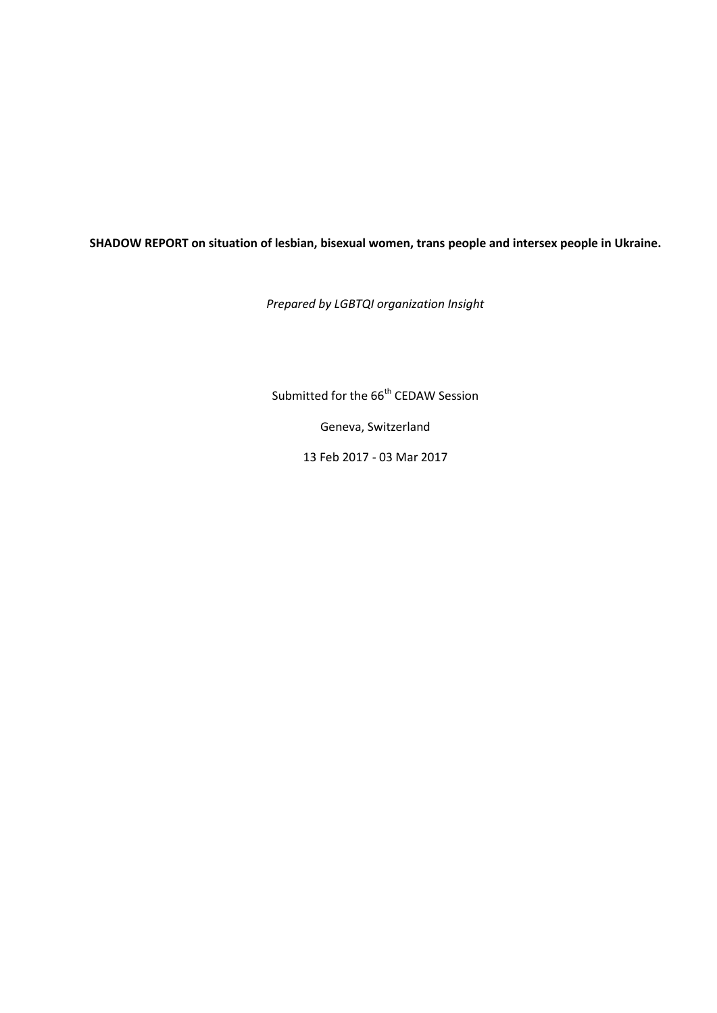#### **SHADOW REPORT on situation of lesbian, bisexual women, trans people and intersex people in Ukraine.**

*Prepared by LGBTQI organization Insight*

Submitted for the 66<sup>th</sup> CEDAW Session

Geneva, Switzerland

13 Feb 2017 - 03 Mar 2017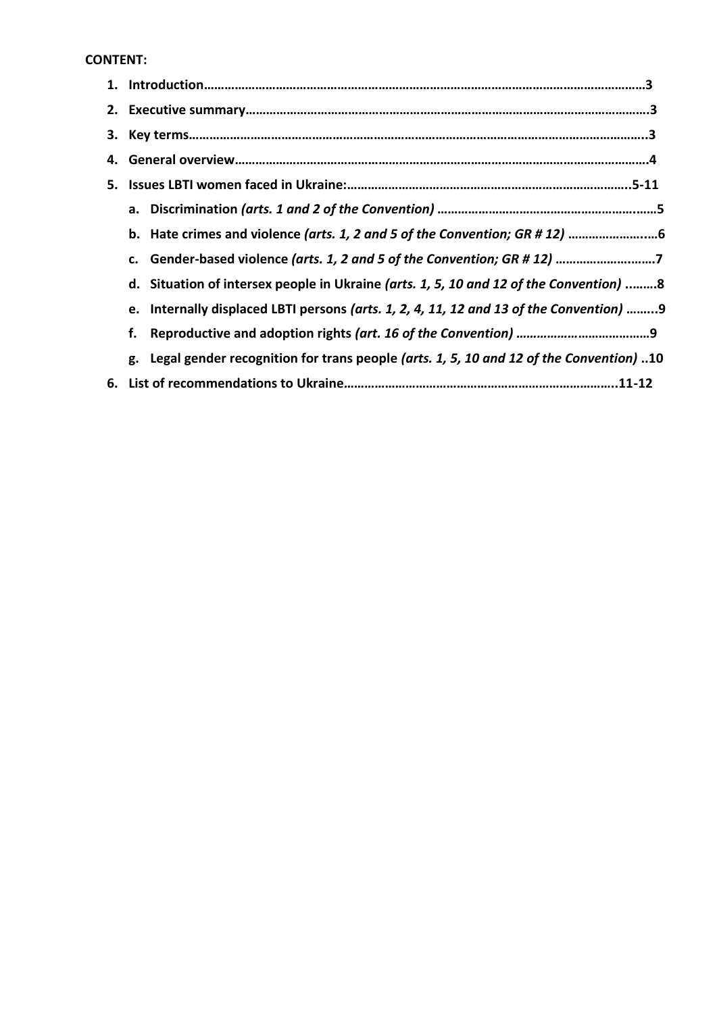#### **CONTENT:**

|    | c. Gender-based violence (arts. 1, 2 and 5 of the Convention; GR # 12) 7                  |  |
|----|-------------------------------------------------------------------------------------------|--|
|    | d. Situation of intersex people in Ukraine (arts. 1, 5, 10 and 12 of the Convention) 8    |  |
|    | e. Internally displaced LBTI persons (arts. 1, 2, 4, 11, 12 and 13 of the Convention) 9   |  |
| f. |                                                                                           |  |
|    | g. Legal gender recognition for trans people (arts. 1, 5, 10 and 12 of the Convention) 10 |  |
|    |                                                                                           |  |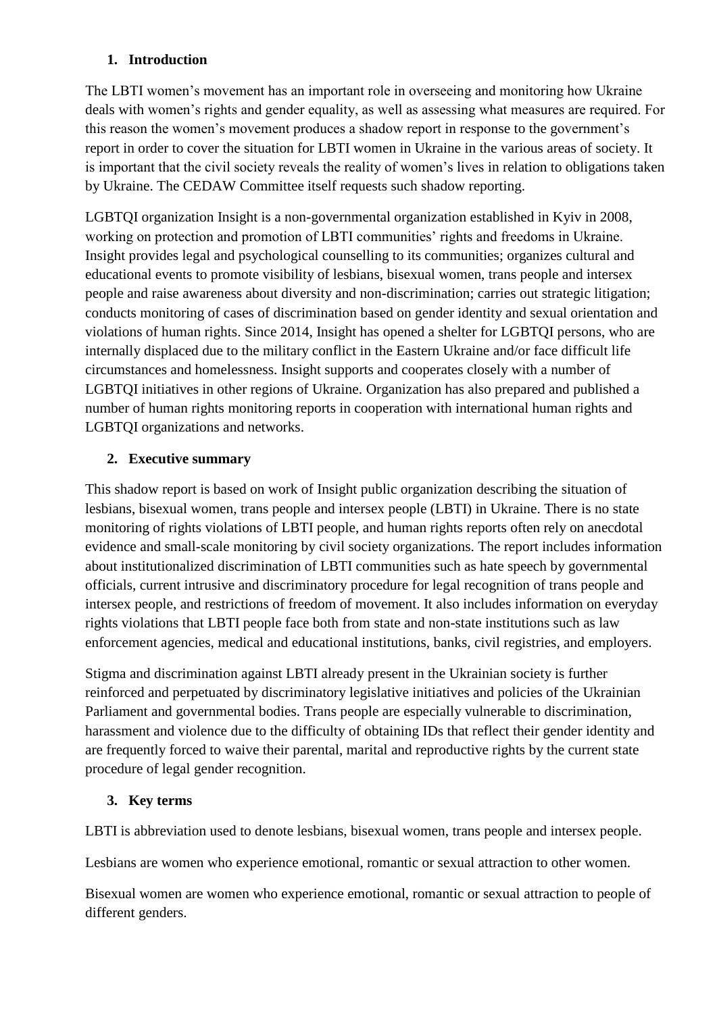### **1. Introduction**

The LBTI women's movement has an important role in overseeing and monitoring how Ukraine deals with women's rights and gender equality, as well as assessing what measures are required. For this reason the women's movement produces a shadow report in response to the government's report in order to cover the situation for LBTI women in Ukraine in the various areas of society. It is important that the civil society reveals the reality of women's lives in relation to obligations taken by Ukraine. The CEDAW Committee itself requests such shadow reporting.

LGBTQI organization Insight is a non-governmental organization established in Kyiv in 2008, working on protection and promotion of LBTI communities' rights and freedoms in Ukraine. Insight provides legal and psychological counselling to its communities; organizes cultural and educational events to promote visibility of lesbians, bisexual women, trans people and intersex people and raise awareness about diversity and non-discrimination; carries out strategic litigation; conducts monitoring of cases of discrimination based on gender identity and sexual orientation and violations of human rights. Since 2014, Insight has opened a shelter for LGBTQI persons, who are internally displaced due to the military conflict in the Eastern Ukraine and/or face difficult life circumstances and homelessness. Insight supports and cooperates closely with a number of LGBTQI initiatives in other regions of Ukraine. Organization has also prepared and published a number of human rights monitoring reports in cooperation with international human rights and LGBTQI organizations and networks.

#### **2. Executive summary**

This shadow report is based on work of Insight public organization describing the situation of lesbians, bisexual women, trans people and intersex people (LBTI) in Ukraine. There is no state monitoring of rights violations of LBTI people, and human rights reports often rely on anecdotal evidence and small-scale monitoring by civil society organizations. The report includes information about institutionalized discrimination of LBTI communities such as hate speech by governmental officials, current intrusive and discriminatory procedure for legal recognition of trans people and intersex people, and restrictions of freedom of movement. It also includes information on everyday rights violations that LBTI people face both from state and non-state institutions such as law enforcement agencies, medical and educational institutions, banks, civil registries, and employers.

Stigma and discrimination against LBTI already present in the Ukrainian society is further reinforced and perpetuated by discriminatory legislative initiatives and policies of the Ukrainian Parliament and governmental bodies. Trans people are especially vulnerable to discrimination, harassment and violence due to the difficulty of obtaining IDs that reflect their gender identity and are frequently forced to waive their parental, marital and reproductive rights by the current state procedure of legal gender recognition.

### **3. Key terms**

LBTI is abbreviation used to denote lesbians, bisexual women, trans people and intersex people.

Lesbians are women who experience emotional, romantic or sexual attraction to other women.

Bisexual women are women who experience emotional, romantic or sexual attraction to people of different genders.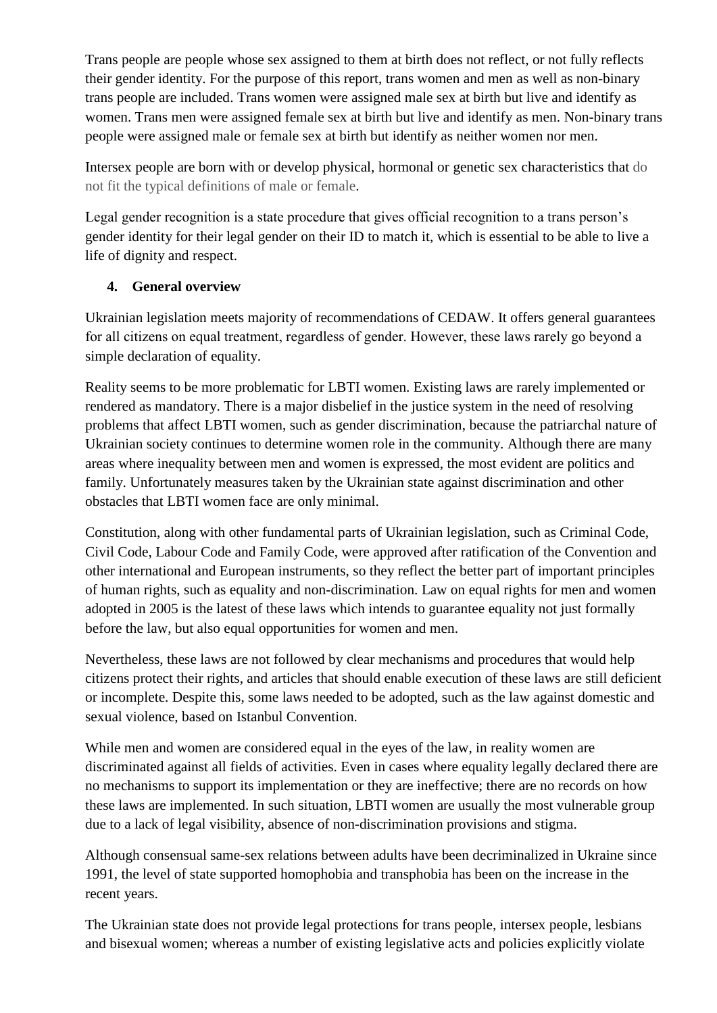Trans people are people whose sex assigned to them at birth does not reflect, or not fully reflects their gender identity. For the purpose of this report, trans women and men as well as non-binary trans people are included. Trans women were assigned male sex at birth but live and identify as women. Trans men were assigned female sex at birth but live and identify as men. Non-binary trans people were assigned male or female sex at birth but identify as neither women nor men.

Intersex people are born with or develop physical, hormonal or genetic sex characteristics that do not fit the typical definitions of male or female.

Legal gender recognition is a state procedure that gives official recognition to a trans person's gender identity for their legal gender on their ID to match it, which is essential to be able to live a life of dignity and respect.

### **4. General overview**

Ukrainian legislation meets majority of recommendations of CEDAW. It offers general guarantees for all сitizens on equal treatment, regardless of gender. However, these laws rarely go beyond a simple declaration of equality.

Reality seems to be more problematic for LBTI women. Existing laws are rarely implemented or rendered as mandatory. There is a major disbelief in the justice system in the need of resolving problems that affect LBTI women, such as gender discrimination, because the patriarchal nature of Ukrainian society continues to determine women role in the community. Although there are many areas where inequality between men and women is expressed, the most evident are politics and family. Unfortunately measures taken by the Ukrainian state against discrimination and other obstacles that LBTI women face are only minimal.

Constitution, along with other fundamental parts of Ukrainian legislation, such as Criminal Code, Civil Code, Labour Code and Family Code, were approved after ratification of the Convention and other international and European instruments, so they reflect the better part of important principles of human rights, such as equality and non-discrimination. Law on equal rights for men and women adopted in 2005 is the latest of these laws which intends to guarantee equality not just formally before the law, but also equal opportunities for women and men.

Nevertheless, these laws are not followed by clear mechanisms and procedures that would help citizens protect their rights, and articles that should enable execution of these laws are still deficient or incomplete. Despite this, some laws needed to be adopted, such as the law against domestic and sexual violence, based on Istanbul Convention.

While men and women are considered equal in the eyes of the law, in reality women are discriminated against all fields of activities. Even in cases where equality legally declared there are no mechanisms to support its implementation or they are ineffective; there are no records on how these laws are implemented. In such situation, LBTI women are usually the most vulnerable group due to a lack of legal visibility, absence of non-discrimination provisions and stigma.

Although consensual same-sex relations between adults have been decriminalized in Ukraine since 1991, the level of state supported homophobia and transphobia has been on the increase in the recent years.

The Ukrainian state does not provide legal protections for trans people, intersex people, lesbians and bisexual women; whereas a number of existing legislative acts and policies explicitly violate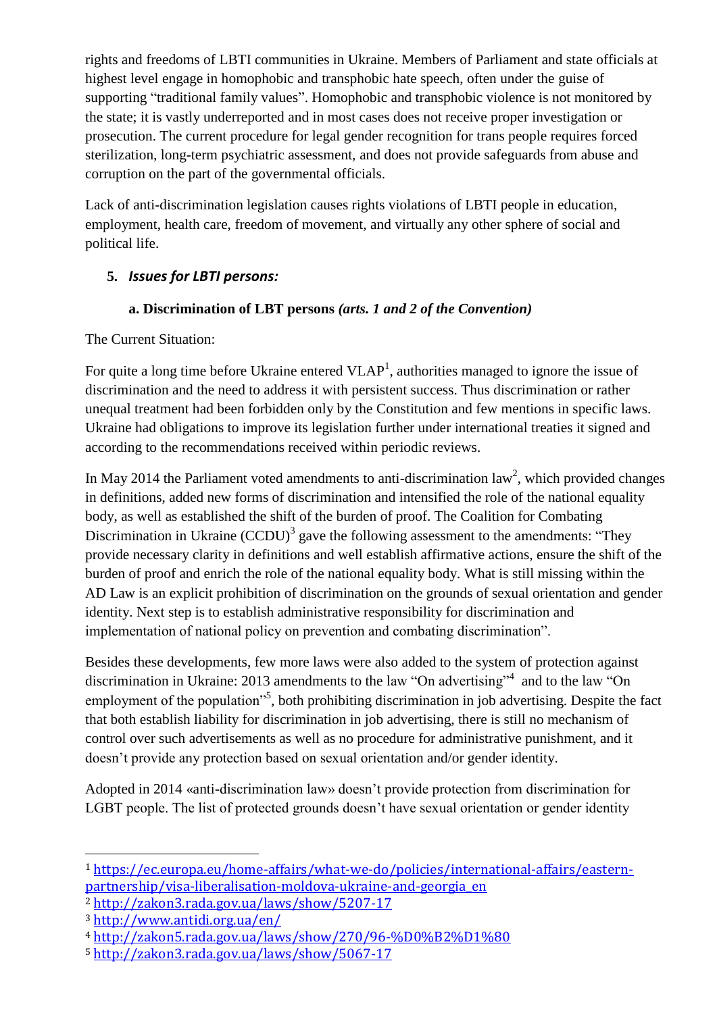rights and freedoms of LBTI communities in Ukraine. Members of Parliament and state officials at highest level engage in homophobic and transphobic hate speech, often under the guise of supporting "traditional family values". Homophobic and transphobic violence is not monitored by the state; it is vastly underreported and in most cases does not receive proper investigation or prosecution. The current procedure for legal gender recognition for trans people requires forced sterilization, long-term psychiatric assessment, and does not provide safeguards from abuse and corruption on the part of the governmental officials.

Lack of anti-discrimination legislation causes rights violations of LBTI people in education, employment, health care, freedom of movement, and virtually any other sphere of social and political life.

## **5.** *Issues for LBTI persons:*

### **a. Discrimination of LBT persons** *(arts. 1 and 2 of the Convention)*

The Current Situation:

For quite a long time before Ukraine entered  $VLAP<sup>1</sup>$ , authorities managed to ignore the issue of discrimination and the need to address it with persistent success. Thus discrimination or rather unequal treatment had been forbidden only by the Constitution and few mentions in specific laws. Ukraine had obligations to improve its legislation further under international treaties it signed and according to the recommendations received within periodic reviews.

In May 2014 the Parliament voted amendments to anti-discrimination law<sup>2</sup>, which provided changes in definitions, added new forms of discrimination and intensified the role of the national equality body, as well as established the shift of the burden of proof. The Coalition for Combating Discrimination in Ukraine  $(CCDU)^3$  gave the following assessment to the amendments: "They provide necessary clarity in definitions and well establish affirmative actions, ensure the shift of the burden of proof and enrich the role of the national equality body. What is still missing within the AD Law is an explicit prohibition of discrimination on the grounds of sexual orientation and gender identity. Next step is to establish administrative responsibility for discrimination and implementation of national policy on prevention and combating discrimination".

Besides these developments, few more laws were also added to the system of protection against discrimination in Ukraine: 2013 amendments to the law "On advertising"<sup>4</sup> and to the law "On employment of the population"<sup>5</sup>, both prohibiting discrimination in job advertising. Despite the fact that both establish liability for discrimination in job advertising, there is still no mechanism of control over such advertisements as well as no procedure for administrative punishment, and it doesn't provide any protection based on sexual orientation and/or gender identity.

Adopted in 2014 «anti-discrimination law» doesn't provide protection from discrimination for LGBT people. The list of protected grounds doesn't have sexual orientation or gender identity

**.** 

<sup>1</sup> [https://ec.europa.eu/home-affairs/what-we-do/policies/international-affairs/eastern](https://ec.europa.eu/home-affairs/what-we-do/policies/international-affairs/eastern-partnership/visa-liberalisation-moldova-ukraine-and-georgia_en)[partnership/visa-liberalisation-moldova-ukraine-and-georgia\\_en](https://ec.europa.eu/home-affairs/what-we-do/policies/international-affairs/eastern-partnership/visa-liberalisation-moldova-ukraine-and-georgia_en)

<sup>2</sup> <http://zakon3.rada.gov.ua/laws/show/5207-17>

<sup>3</sup> <http://www.antidi.org.ua/en/>

<sup>4</sup> <http://zakon5.rada.gov.ua/laws/show/270/96-%D0%B2%D1%80>

<sup>5</sup> <http://zakon3.rada.gov.ua/laws/show/5067-17>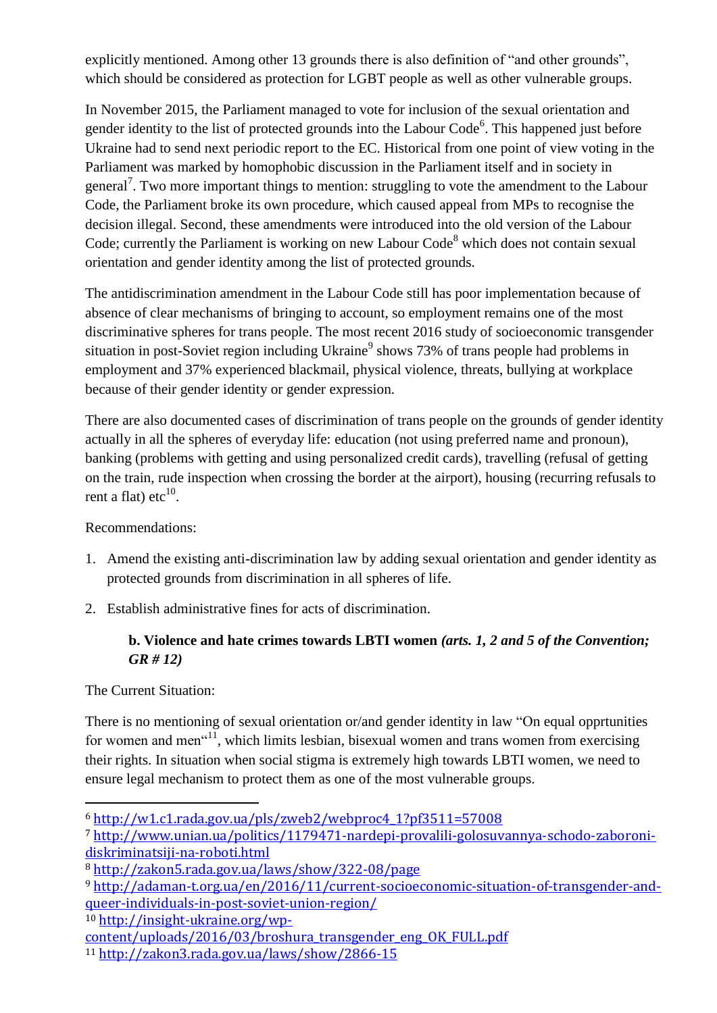explicitly mentioned. Among other 13 grounds there is also definition of "and other grounds", which should be considered as protection for LGBT people as well as other vulnerable groups.

In November 2015, the Parliament managed to vote for inclusion of the sexual orientation and gender identity to the list of protected grounds into the Labour Code $<sup>6</sup>$ . This happened just before</sup> Ukraine had to send next periodic report to the EC. Historical from one point of view voting in the Parliament was marked by homophobic discussion in the Parliament itself and in society in general<sup>7</sup>. Two more important things to mention: struggling to vote the amendment to the Labour Code, the Parliament broke its own procedure, which caused appeal from MPs to recognise the decision illegal. Second, these amendments were introduced into the old version of the Labour Code; currently the Parliament is working on new Labour Code<sup>8</sup> which does not contain sexual orientation and gender identity among the list of protected grounds.

The antidiscrimination amendment in the Labour Code still has poor implementation because of absence of clear mechanisms of bringing to account, so employment remains one of the most discriminative spheres for trans people. The most recent 2016 study of socioeconomic transgender situation in post-Soviet region including Ukraine<sup>9</sup> shows 73% of trans people had problems in employment and 37% experienced blackmail, physical violence, threats, bullying at workplace because of their gender identity or gender expression.

There are also documented cases of discrimination of trans people on the grounds of gender identity actually in all the spheres of everyday life: education (not using preferred name and pronoun), banking (problems with getting and using personalized credit cards), travelling (refusal of getting on the train, rude inspection when crossing the border at the airport), housing (recurring refusals to rent a flat) etc $^{10}$ .

Recommendations:

- 1. Amend the existing anti-discrimination law by adding sexual orientation and gender identity as protected grounds from discrimination in all spheres of life.
- 2. Establish administrative fines for acts of discrimination.

## **b. Violence and hate crimes towards LBTI women** *(arts. 1, 2 and 5 of the Convention; GR # 12)*

The Current Situation:

1

There is no mentioning of sexual orientation or/and gender identity in law "On equal opprtunities for women and men $1,$ , which limits lesbian, bisexual women and trans women from exercising their rights. In situation when social stigma is extremely high towards LBTI women, we need to ensure legal mechanism to protect them as one of the most vulnerable groups.

<sup>10</sup> [http://insight-ukraine.org/wp-](http://insight-ukraine.org/wp-content/uploads/2016/03/broshura_transgender_eng_OK_FULL.pdf)

<sup>6</sup> [http://w1.c1.rada.gov.ua/pls/zweb2/webproc4\\_1?pf3511=57008](http://w1.c1.rada.gov.ua/pls/zweb2/webproc4_1?pf3511=57008)

<sup>7</sup> [http://www.unian.ua/politics/1179471-nardepi-provalili-golosuvannya-schodo-zaboroni](http://www.unian.ua/politics/1179471-nardepi-provalili-golosuvannya-schodo-zaboroni-diskriminatsiji-na-roboti.html)[diskriminatsiji-na-roboti.html](http://www.unian.ua/politics/1179471-nardepi-provalili-golosuvannya-schodo-zaboroni-diskriminatsiji-na-roboti.html)

<sup>8</sup> <http://zakon5.rada.gov.ua/laws/show/322-08/page>

<sup>9</sup> [http://adaman-t.org.ua/en/2016/11/current-socioeconomic-situation-of-transgender-and](http://adaman-t.org.ua/en/2016/11/current-socioeconomic-situation-of-transgender-and-queer-individuals-in-post-soviet-union-region/)[queer-individuals-in-post-soviet-union-region/](http://adaman-t.org.ua/en/2016/11/current-socioeconomic-situation-of-transgender-and-queer-individuals-in-post-soviet-union-region/)

[content/uploads/2016/03/broshura\\_transgender\\_eng\\_OK\\_FULL.pdf](http://insight-ukraine.org/wp-content/uploads/2016/03/broshura_transgender_eng_OK_FULL.pdf)

<sup>11</sup> <http://zakon3.rada.gov.ua/laws/show/2866-15>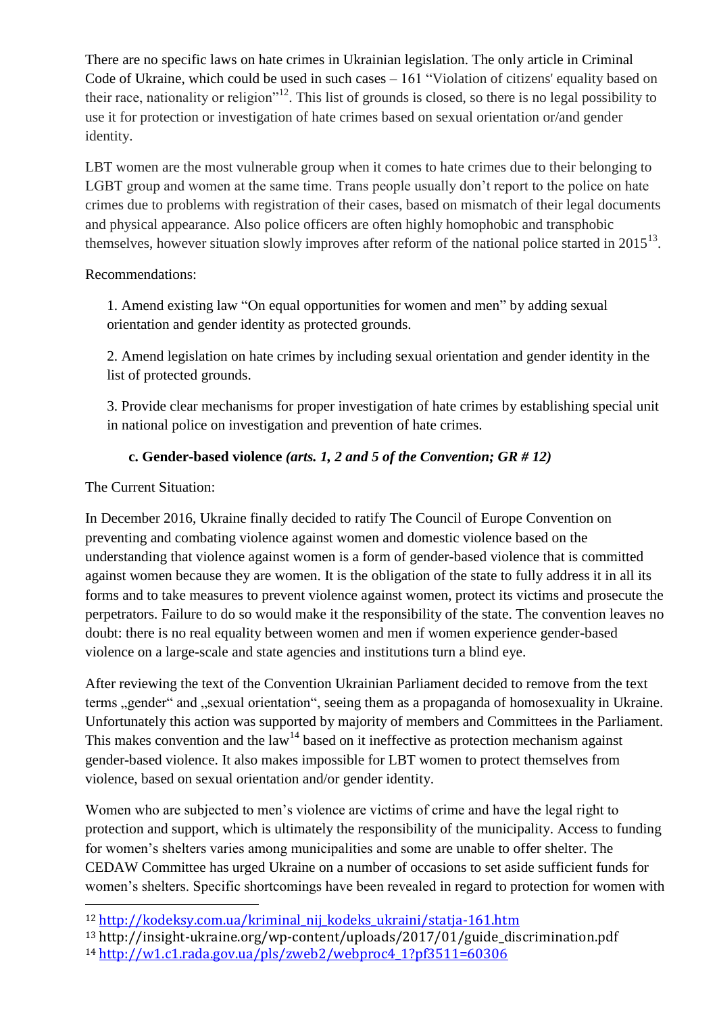There are no specific laws on hate crimes in Ukrainian legislation. The only article in Criminal Code of Ukraine, which could be used in such cases – 161 "Violation of citizens' equality based on their race, nationality or religion<sup> $12$ </sup>. This list of grounds is closed, so there is no legal possibility to use it for protection or investigation of hate crimes based on sexual orientation or/and gender identity.

LBT women are the most vulnerable group when it comes to hate crimes due to their belonging to LGBT group and women at the same time. Trans people usually don't report to the police on hate crimes due to problems with registration of their cases, based on mismatch of their legal documents and physical appearance. Also police officers are often highly homophobic and transphobic themselves, however situation slowly improves after reform of the national police started in  $2015^{13}$ .

Recommendations:

1. Amend existing law "On equal opportunities for women and men" by adding sexual orientation and gender identity as protected grounds.

2. Amend legislation on hate crimes by including sexual orientation and gender identity in the list of protected grounds.

3. Provide clear mechanisms for proper investigation of hate crimes by establishing special unit in national police on investigation and prevention of hate crimes.

### **c. Gender-based violence** *(arts. 1, 2 and 5 of the Convention; GR # 12)*

The Current Situation:

 $\overline{a}$ 

In December 2016, Ukraine finally decided to ratify The Council of Europe Convention on preventing and combating violence against women and domestic violence based on the understanding that violence against women is a form of gender-based violence that is committed against women because they are women. It is the obligation of the state to fully address it in all its forms and to take measures to prevent violence against women, protect its victims and prosecute the perpetrators. Failure to do so would make it the responsibility of the state. The convention leaves no doubt: there is no real equality between women and men if women experience gender-based violence on a large-scale and state agencies and institutions turn a blind eye.

After reviewing the text of the Convention Ukrainian Parliament decided to remove from the text terms "gender" and "sexual orientation", seeing them as a propaganda of homosexuality in Ukraine. Unfortunately this action was supported by majority of members and Committees in the Parliament. This makes convention and the law<sup>14</sup> based on it ineffective as protection mechanism against gender-based violence. It also makes impossible for LBT women to protect themselves from violence, based on sexual orientation and/or gender identity.

Women who are subjected to men's violence are victims of crime and have the legal right to protection and support, which is ultimately the responsibility of the municipality. Access to funding for women's shelters varies among municipalities and some are unable to offer shelter. The CEDAW Committee has urged Ukraine on a number of occasions to set aside sufficient funds for women's shelters. Specific shortcomings have been revealed in regard to protection for women with

<sup>12</sup> [http://kodeksy.com.ua/kriminal\\_nij\\_kodeks\\_ukraini/statja-161.htm](http://kodeksy.com.ua/kriminal_nij_kodeks_ukraini/statja-161.htm)

<sup>13</sup> http://insight-ukraine.org/wp-content/uploads/2017/01/guide\_discrimination.pdf

<sup>14</sup> [http://w1.c1.rada.gov.ua/pls/zweb2/webproc4\\_1?pf3511=60306](http://w1.c1.rada.gov.ua/pls/zweb2/webproc4_1?pf3511=60306)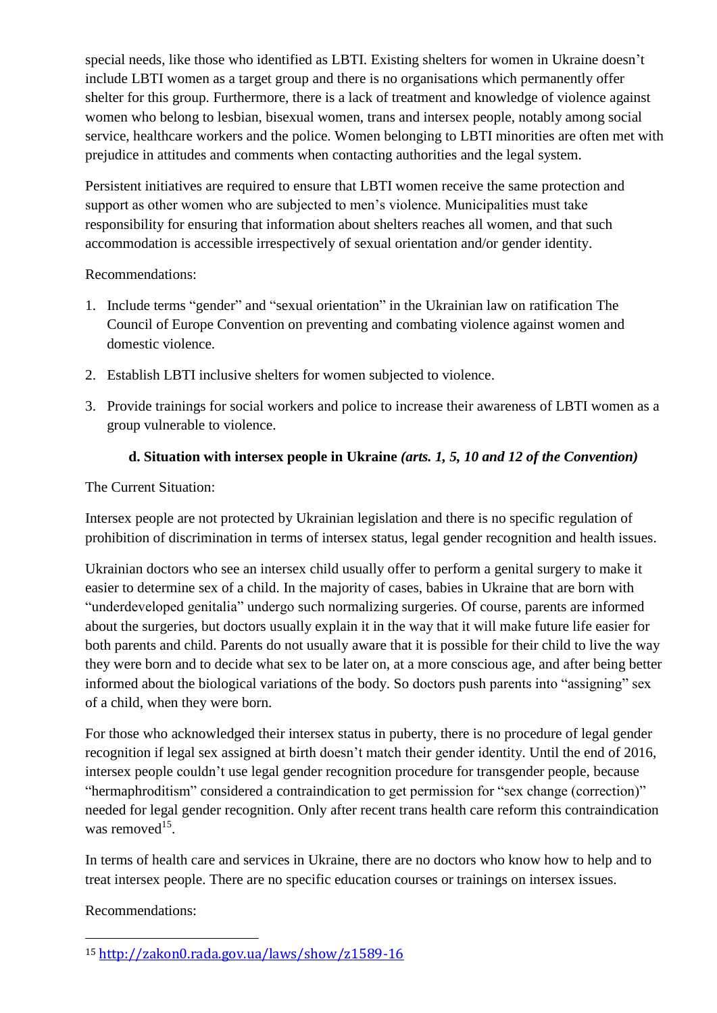special needs, like those who identified as LBTI. Existing shelters for women in Ukraine doesn't include LBTI women as a target group and there is no organisations which permanently offer shelter for this group. Furthermore, there is a lack of treatment and knowledge of violence against women who belong to lesbian, bisexual women, trans and intersex people, notably among social service, healthcare workers and the police. Women belonging to LBTI minorities are often met with prejudice in attitudes and comments when contacting authorities and the legal system.

Persistent initiatives are required to ensure that LBTI women receive the same protection and support as other women who are subjected to men's violence. Municipalities must take responsibility for ensuring that information about shelters reaches all women, and that such accommodation is accessible irrespectively of sexual orientation and/or gender identity.

Recommendations:

- 1. Include terms "gender" and "sexual orientation" in the Ukrainian law on ratification The Council of Europe Convention on preventing and combating violence against women and domestic violence.
- 2. Establish LBTI inclusive shelters for women subjected to violence.
- 3. Provide trainings for social workers and police to increase their awareness of LBTI women as a group vulnerable to violence.

### **d. Situation with intersex people in Ukraine** *(arts. 1, 5, 10 and 12 of the Convention)*

The Current Situation:

Intersex people are not protected by Ukrainian legislation and there is no specific regulation of prohibition of discrimination in terms of intersex status, legal gender recognition and health issues.

Ukrainian doctors who see an intersex child usually offer to perform a genital surgery to make it easier to determine sex of a child. In the majority of cases, babies in Ukraine that are born with "underdeveloped genitalia" undergo such normalizing surgeries. Of course, parents are informed about the surgeries, but doctors usually explain it in the way that it will make future life easier for both parents and child. Parents do not usually aware that it is possible for their child to live the way they were born and to decide what sex to be later on, at a more conscious age, and after being better informed about the biological variations of the body. So doctors push parents into "assigning" sex of a child, when they were born.

For those who acknowledged their intersex status in puberty, there is no procedure of legal gender recognition if legal sex assigned at birth doesn't match their gender identity. Until the end of 2016, intersex people couldn't use legal gender recognition procedure for transgender people, because "hermaphroditism" considered a contraindication to get permission for "sex change (correction)" needed for legal gender recognition. Only after recent trans health care reform this contraindication was removed $^{15}$ .

In terms of health care and services in Ukraine, there are no doctors who know how to help and to treat intersex people. There are no specific education courses or trainings on intersex issues.

Recommendations:

**.** 

<sup>15</sup> <http://zakon0.rada.gov.ua/laws/show/z1589-16>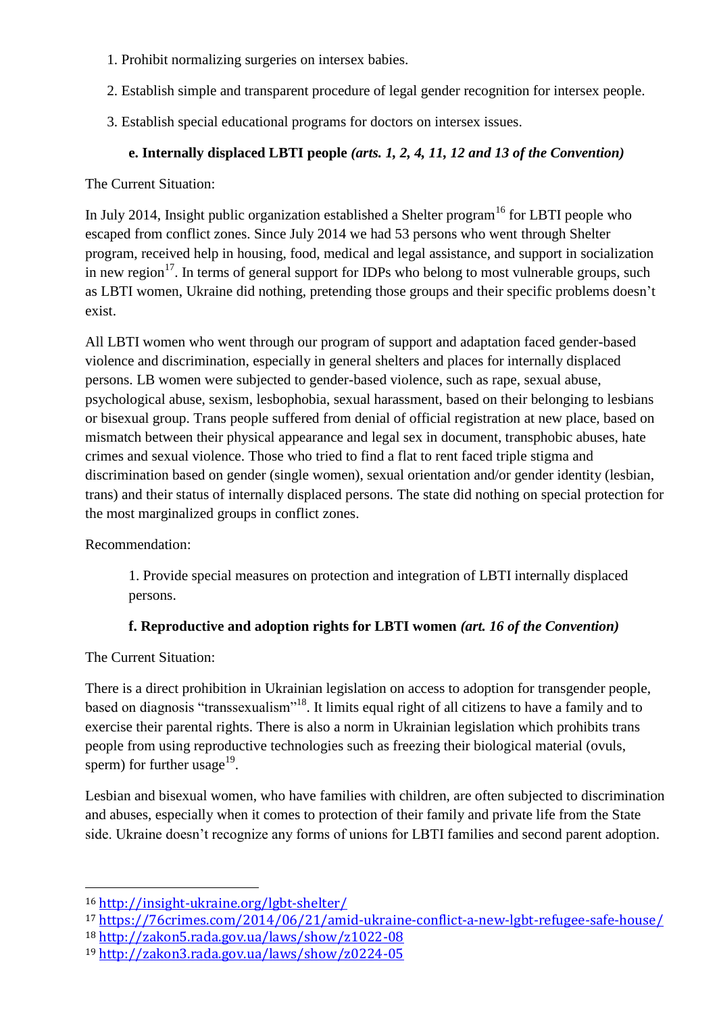- 1. Prohibit normalizing surgeries on intersex babies.
- 2. Establish simple and transparent procedure of legal gender recognition for intersex people.
- 3. Establish special educational programs for doctors on intersex issues.

# **e. Internally displaced LBTI people** *(arts. 1, 2, 4, 11, 12 and 13 of the Convention)*

The Current Situation:

In July 2014, Insight public organization established a Shelter program<sup>16</sup> for LBTI people who escaped from conflict zones. Since July 2014 we had 53 persons who went through Shelter program, received help in housing, food, medical and legal assistance, and support in socialization in new region<sup>17</sup>. In terms of general support for IDPs who belong to most vulnerable groups, such as LBTI women, Ukraine did nothing, pretending those groups and their specific problems doesn't exist.

All LBTI women who went through our program of support and adaptation faced gender-based violence and discrimination, especially in general shelters and places for internally displaced persons. LB women were subjected to gender-based violence, such as rape, sexual abuse, psychological abuse, sexism, lesbophobia, sexual harassment, based on their belonging to lesbians or bisexual group. Trans people suffered from denial of official registration at new place, based on mismatch between their physical appearance and legal sex in document, transphobic abuses, hate crimes and sexual violence. Those who tried to find a flat to rent faced triple stigma and discrimination based on gender (single women), sexual orientation and/or gender identity (lesbian, trans) and their status of internally displaced persons. The state did nothing on special protection for the most marginalized groups in conflict zones.

Recommendation:

1. Provide special measures on protection and integration of LBTI internally displaced persons.

# **f. Reproductive and adoption rights for LBTI women** *(art. 16 of the Convention)*

The Current Situation:

**.** 

There is a direct prohibition in Ukrainian legislation on access to adoption for transgender people, based on diagnosis "transsexualism"<sup>18</sup>. It limits equal right of all citizens to have a family and to exercise their parental rights. There is also a norm in Ukrainian legislation which prohibits trans people from using reproductive technologies such as freezing their biological material (ovuls, sperm) for further usage<sup>19</sup>.

Lesbian and bisexual women, who have families with children, are often subjected to discrimination and abuses, especially when it comes to protection of their family and private life from the State side. Ukraine doesn't recognize any forms of unions for LBTI families and second parent adoption.

<sup>16</sup> <http://insight-ukraine.org/lgbt-shelter/>

<sup>17</sup> <https://76crimes.com/2014/06/21/amid-ukraine-conflict-a-new-lgbt-refugee-safe-house/>

<sup>18</sup> <http://zakon5.rada.gov.ua/laws/show/z1022-08>

<sup>19</sup> <http://zakon3.rada.gov.ua/laws/show/z0224-05>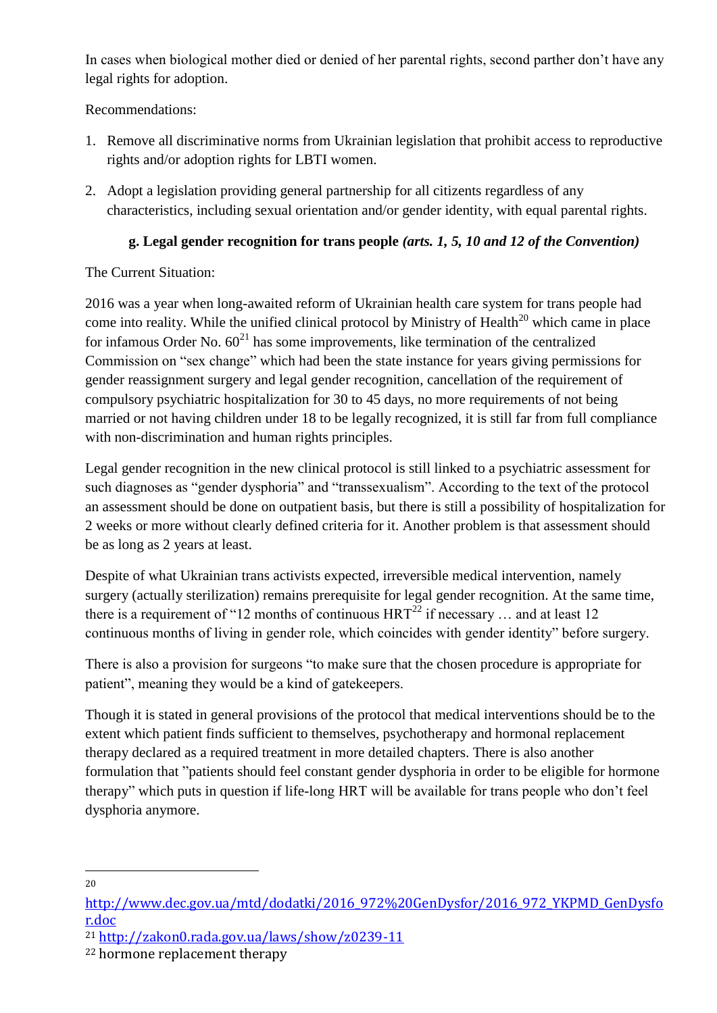In cases when biological mother died or denied of her parental rights, second parther don't have any legal rights for adoption.

Recommendations:

- 1. Remove all discriminative norms from Ukrainian legislation that prohibit access to reproductive rights and/or adoption rights for LBTI women.
- 2. Adopt a legislation providing general partnership for all citizents regardless of any characteristics, including sexual orientation and/or gender identity, with equal parental rights.

## **g. Legal gender recognition for trans people** *(arts. 1, 5, 10 and 12 of the Convention)*

The Current Situation:

2016 was a year when long-awaited reform of Ukrainian health care system for trans people had come into reality. While the unified clinical protocol by Ministry of Health<sup>20</sup> which came in place for infamous Order No.  $60^{21}$  has some improvements, like termination of the centralized Commission on "sex change" which had been the state instance for years giving permissions for gender reassignment surgery and legal gender recognition, cancellation of the requirement of compulsory psychiatric hospitalization for 30 to 45 days, no more requirements of not being married or not having children under 18 to be legally recognized, it is still far from full compliance with non-discrimination and human rights principles.

Legal gender recognition in the new clinical protocol is still linked to a psychiatric assessment for such diagnoses as "gender dysphoria" and "transsexualism". According to the text of the protocol an assessment should be done on outpatient basis, but there is still a possibility of hospitalization for 2 weeks or more without clearly defined criteria for it. Another problem is that assessment should be as long as 2 years at least.

Despite of what Ukrainian trans activists expected, irreversible medical intervention, namely surgery (actually sterilization) remains prerequisite for legal gender recognition. At the same time, there is a requirement of "12 months of continuous  $HRT^{22}$  if necessary ... and at least 12 continuous months of living in gender role, which coincides with gender identity" before surgery.

There is also a provision for surgeons "to make sure that the chosen procedure is appropriate for patient", meaning they would be a kind of gatekeepers.

Though it is stated in general provisions of the protocol that medical interventions should be to the extent which patient finds sufficient to themselves, psychotherapy and hormonal replacement therapy declared as a required treatment in more detailed chapters. There is also another formulation that "patients should feel constant gender dysphoria in order to be eligible for hormone therapy" which puts in question if life-long HRT will be available for trans people who don't feel dysphoria anymore.

 $\overline{a}$ 20

[http://www.dec.gov.ua/mtd/dodatki/2016\\_972%20GenDysfor/2016\\_972\\_YKPMD\\_GenDysfo](http://www.dec.gov.ua/mtd/dodatki/2016_972%20GenDysfor/2016_972_YKPMD_GenDysfor.doc) [r.doc](http://www.dec.gov.ua/mtd/dodatki/2016_972%20GenDysfor/2016_972_YKPMD_GenDysfor.doc)

<sup>21</sup> <http://zakon0.rada.gov.ua/laws/show/z0239-11>

<sup>22</sup> hormone replacement therapy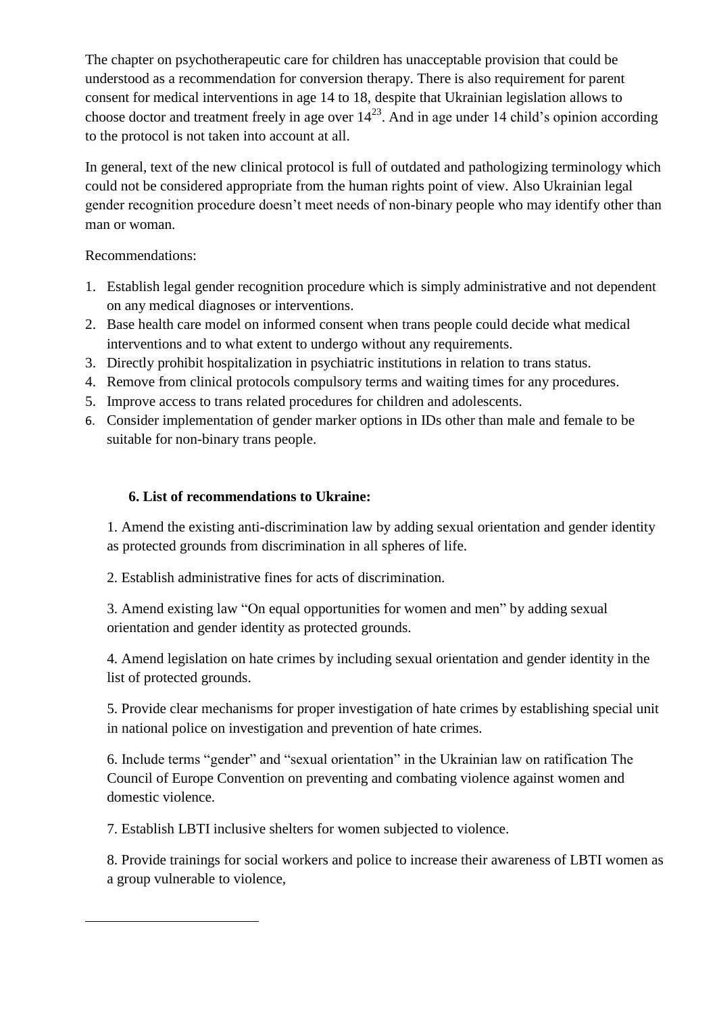The chapter on psychotherapeutic care for children has unacceptable provision that could be understood as a recommendation for conversion therapy. There is also requirement for parent consent for medical interventions in age 14 to 18, despite that Ukrainian legislation allows to choose doctor and treatment freely in age over  $14^{23}$ . And in age under 14 child's opinion according to the protocol is not taken into account at all.

In general, text of the new clinical protocol is full of outdated and pathologizing terminology which could not be considered appropriate from the human rights point of view. Also Ukrainian legal gender recognition procedure doesn't meet needs of non-binary people who may identify other than man or woman.

Recommendations:

**.** 

- 1. Establish legal gender recognition procedure which is simply administrative and not dependent on any medical diagnoses or interventions.
- 2. Base health care model on informed consent when trans people could decide what medical interventions and to what extent to undergo without any requirements.
- 3. Directly prohibit hospitalization in psychiatric institutions in relation to trans status.
- 4. Remove from clinical protocols compulsory terms and waiting times for any procedures.
- 5. Improve access to trans related procedures for children and adolescents.
- 6. Consider implementation of gender marker options in IDs other than male and female to be suitable for non-binary trans people.

### **6. List of recommendations to Ukraine:**

1. Amend the existing anti-discrimination law by adding sexual orientation and gender identity as protected grounds from discrimination in all spheres of life.

2. Establish administrative fines for acts of discrimination.

3. Amend existing law "On equal opportunities for women and men" by adding sexual orientation and gender identity as protected grounds.

4. Amend legislation on hate crimes by including sexual orientation and gender identity in the list of protected grounds.

5. Provide clear mechanisms for proper investigation of hate crimes by establishing special unit in national police on investigation and prevention of hate crimes.

6. Include terms "gender" and "sexual orientation" in the Ukrainian law on ratification The Council of Europe Convention on preventing and combating violence against women and domestic violence.

7. Establish LBTI inclusive shelters for women subjected to violence.

8. Provide trainings for social workers and police to increase their awareness of LBTI women as a group vulnerable to violence,